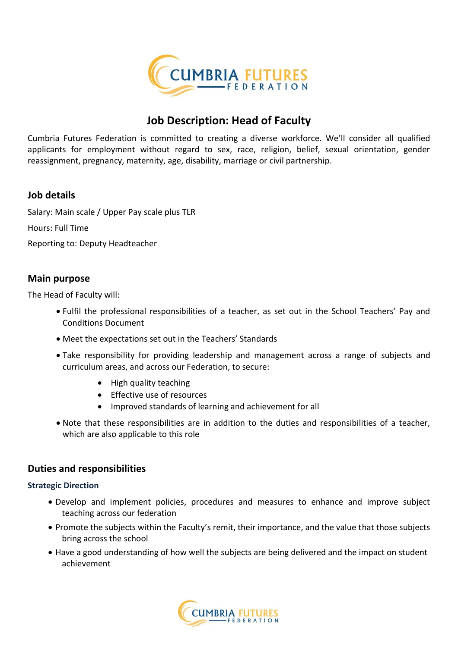

## **Job Description: Head of Faculty**

Cumbria Futures Federation is committed to creating a diverse workforce. We'll consider all qualified applicants for employment without regard to sex, race, religion, belief, sexual orientation, gender reassignment, pregnancy, maternity, age, disability, marriage or civil partnership.

#### **Job details**

Salary: Main scale / Upper Pay scale plus TLR

Hours: Full Time

Reporting to: Deputy Headteacher

#### **Main purpose**

The Head of Faculty will:

- Fulfil the professional responsibilities of a teacher, as set out in the School Teachers' Pay and Conditions Document
- Meet the expectations set out in the Teachers' Standards
- Take responsibility for providing leadership and management across a range of subjects and curriculum areas, and across our Federation, to secure:
	- High quality teaching
	- Effective use of resources
	- Improved standards of learning and achievement for all
- Note that these responsibilities are in addition to the duties and responsibilities of a teacher, which are also applicable to this role

#### **Duties and responsibilities**

#### **Strategic Direction**

- Develop and implement policies, procedures and measures to enhance and improve subject teaching across our federation
- Promote the subjects within the Faculty's remit, their importance, and the value that those subjects bring across the school
- Have a good understanding of how well the subjects are being delivered and the impact on student achievement

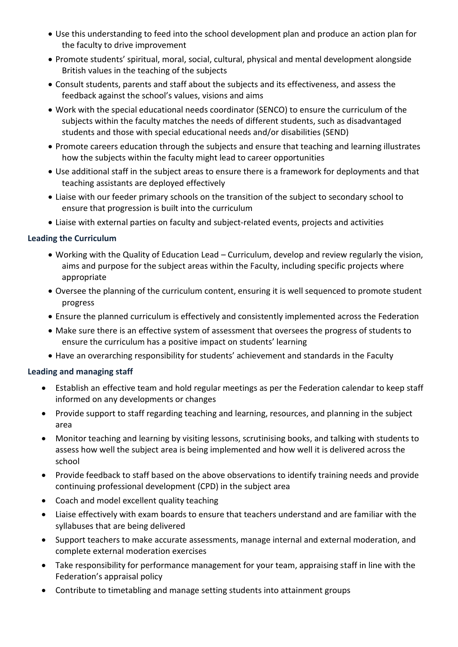- Use this understanding to feed into the school development plan and produce an action plan for the faculty to drive improvement
- Promote students' spiritual, moral, social, cultural, physical and mental development alongside British values in the teaching of the subjects
- Consult students, parents and staff about the subjects and its effectiveness, and assess the feedback against the school's values, visions and aims
- Work with the special educational needs coordinator (SENCO) to ensure the curriculum of the subjects within the faculty matches the needs of different students, such as disadvantaged students and those with special educational needs and/or disabilities (SEND)
- Promote careers education through the subjects and ensure that teaching and learning illustrates how the subjects within the faculty might lead to career opportunities
- Use additional staff in the subject areas to ensure there is a framework for deployments and that teaching assistants are deployed effectively
- Liaise with our feeder primary schools on the transition of the subject to secondary school to ensure that progression is built into the curriculum
- Liaise with external parties on faculty and subject-related events, projects and activities

#### **Leading the Curriculum**

- Working with the Quality of Education Lead Curriculum, develop and review regularly the vision, aims and purpose for the subject areas within the Faculty, including specific projects where appropriate
- Oversee the planning of the curriculum content, ensuring it is well sequenced to promote student progress
- Ensure the planned curriculum is effectively and consistently implemented across the Federation
- Make sure there is an effective system of assessment that oversees the progress of students to ensure the curriculum has a positive impact on students' learning
- Have an overarching responsibility for students' achievement and standards in the Faculty

#### **Leading and managing staff**

- Establish an effective team and hold regular meetings as per the Federation calendar to keep staff informed on any developments or changes
- Provide support to staff regarding teaching and learning, resources, and planning in the subject area
- Monitor teaching and learning by visiting lessons, scrutinising books, and talking with students to assess how well the subject area is being implemented and how well it is delivered across the school
- Provide feedback to staff based on the above observations to identify training needs and provide continuing professional development (CPD) in the subject area
- Coach and model excellent quality teaching
- Liaise effectively with exam boards to ensure that teachers understand and are familiar with the syllabuses that are being delivered
- Support teachers to make accurate assessments, manage internal and external moderation, and complete external moderation exercises
- Take responsibility for performance management for your team, appraising staff in line with the Federation's appraisal policy
- Contribute to timetabling and manage setting students into attainment groups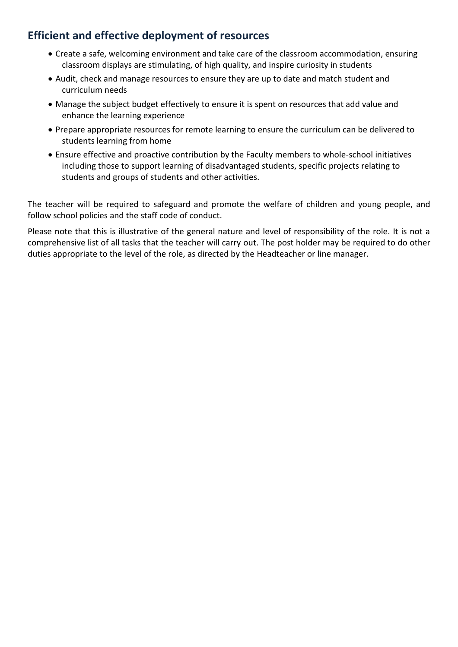## **Efficient and effective deployment of resources**

- Create a safe, welcoming environment and take care of the classroom accommodation, ensuring classroom displays are stimulating, of high quality, and inspire curiosity in students
- Audit, check and manage resources to ensure they are up to date and match student and curriculum needs
- Manage the subject budget effectively to ensure it is spent on resources that add value and enhance the learning experience
- Prepare appropriate resources for remote learning to ensure the curriculum can be delivered to students learning from home
- Ensure effective and proactive contribution by the Faculty members to whole-school initiatives including those to support learning of disadvantaged students, specific projects relating to students and groups of students and other activities.

The teacher will be required to safeguard and promote the welfare of children and young people, and follow school policies and the staff code of conduct.

Please note that this is illustrative of the general nature and level of responsibility of the role. It is not a comprehensive list of all tasks that the teacher will carry out. The post holder may be required to do other duties appropriate to the level of the role, as directed by the Headteacher or line manager.